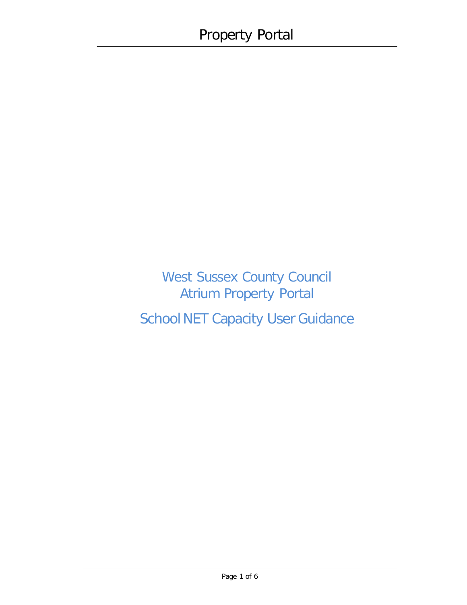West Sussex County Council Atrium Property Portal School NET Capacity User Guidance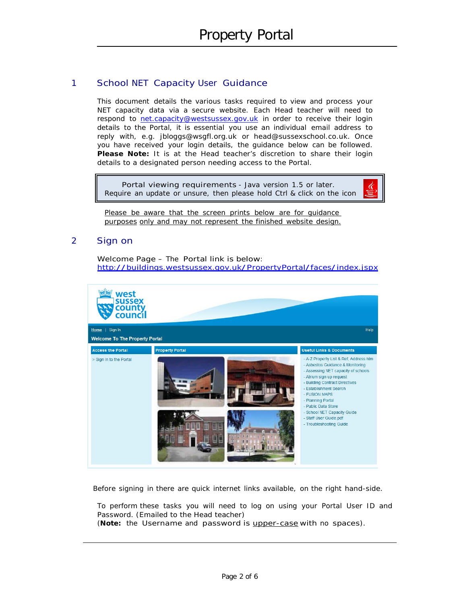### 1 School NET Capacity User Guidance

This document details the various tasks required to view and process your NET capacity data via a secure website. Each Head teacher will need to respond to [net.capacity@westsussex.gov.uk](mailto:net.capacity@westsussex.gov.uk) in order to receive their login details to the Portal, it is essential you use an individual email address to reply with, e.g. [jbloggs@wsgfl.org.uk](mailto:jbloggs@wsgfl.org.uk) or [head@sussexschool.co.uk.](mailto:head@sussexschool.co.uk) Once you have received your login details, the guidance below can be followed. **Please Note:** It is at the Head teacher's discretion to share their login details to a designated person needing access to the Portal.

Portal viewing requirements - Java version 1.5 or later. Require an update or unsure, then please hold Ctrl & click on the icon



Please be aware that the screen prints below are for quidance purposes only and may not represent the finished website design.

#### 2 Sign on

Welcome Page – The Portal link is below: <http://buildings.westsussex.gov.uk/PropertyPortal/faces/index.jspx>



Before signing in there are quick internet links available, on the right hand-side.

To perform these tasks you will need to log on using your Portal User ID and Password. (Emailed to the Head teacher)

(**Note:** the Username and password is upper-case with no spaces).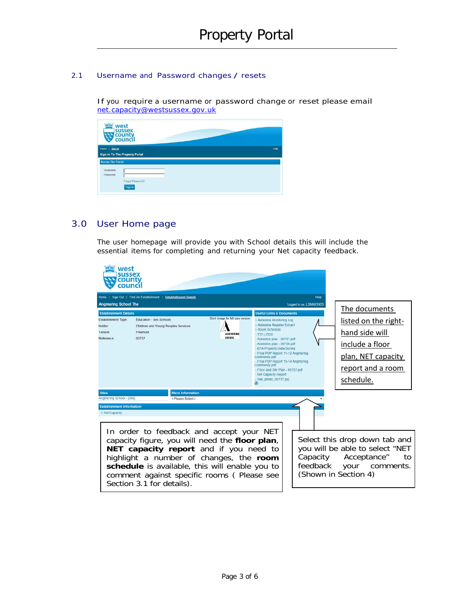#### 2.1 Username and Password changes / resets

If you require a username or password change or reset please email [net.capacity@westsussex.gov.uk](mailto:net.capacity@westsussex.gov.uk)



### 3.0 User Home page

The user homepage will provide you with School details this will include the essential items for completing and returning your Net capacity feedback.

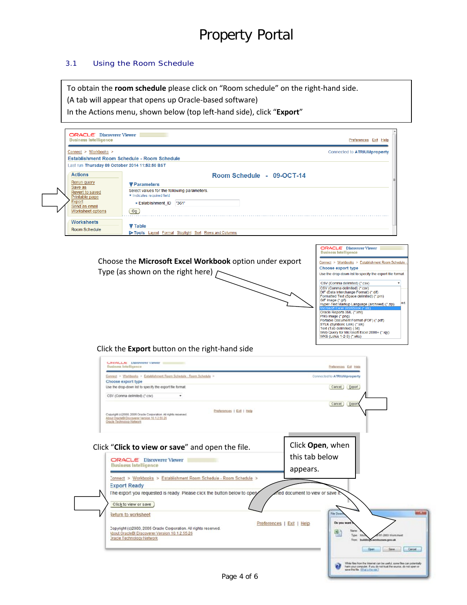### 3.1 Using the Room Schedule

To obtain the **room schedule** please click on "Room schedule" on the right-hand side.

(A tab will appear that opens up Oracle-based software)

In the Actions menu, shown below (top left-hand side), click "**Export**"

|                                                |                                                                                                                                                 | Preferences Exit Help                                                                     |
|------------------------------------------------|-------------------------------------------------------------------------------------------------------------------------------------------------|-------------------------------------------------------------------------------------------|
| Connect > Workbooks >                          |                                                                                                                                                 | Connected to ATRIUMproperty                                                               |
|                                                | Establishment Room Schedule - Room Schedule                                                                                                     |                                                                                           |
| Last run Thursday 09 October 2014 11:53:50 BST |                                                                                                                                                 |                                                                                           |
| <b>Actions</b>                                 | Room Schedule - 09-OCT-14                                                                                                                       |                                                                                           |
| Rerun query<br>Save as                         | <b>V</b> Parameters                                                                                                                             |                                                                                           |
| Revert to saved                                | Select values for the following parameters.<br>* Indicates required field                                                                       |                                                                                           |
| Printable page<br>Export                       | * Establishment ID '361'                                                                                                                        |                                                                                           |
| Send as email<br>Worksheet options             | GQ                                                                                                                                              |                                                                                           |
|                                                |                                                                                                                                                 |                                                                                           |
| <b>Worksheets</b>                              | <b>▼ Table</b>                                                                                                                                  |                                                                                           |
| <b>Room Schedule</b>                           | Tools Layout Format Stoplight Sort Rows and Columns                                                                                             |                                                                                           |
|                                                |                                                                                                                                                 |                                                                                           |
|                                                |                                                                                                                                                 | <b>ORACLE</b> Discoverer Viewer<br><b>Business Intelligence</b>                           |
|                                                | Choose the Microsoft Excel Workbook option under export                                                                                         | Connect > Workbooks > Establishment Room Schedule                                         |
|                                                |                                                                                                                                                 | Choose export type                                                                        |
|                                                | Type (as shown on the right here)                                                                                                               | Use the drop-down list to specify the export file format.                                 |
|                                                |                                                                                                                                                 | CSV (Comma delimited) (*.csv)                                                             |
|                                                |                                                                                                                                                 | CSV (Comma delimited) (*.csv)<br>DIF (Data Interchange Format) (*.dif)                    |
|                                                |                                                                                                                                                 | Formatted Text (Space delimited) (*.prn)<br>GIF Image (*.gif)                             |
|                                                |                                                                                                                                                 | Hyper-Text Markup Language (archived) (*.zip)                                             |
|                                                |                                                                                                                                                 | Oracle Reports XML (*.xml)<br>PNG Image (* png)<br>Portable Document Format (PDF) (* pdf) |
|                                                |                                                                                                                                                 | SYLK (Symbolic Link) (*.slk)                                                              |
|                                                |                                                                                                                                                 | Text (Tab delimited) (.txt)<br>Web Query for Microsoft Excel 2000+ (*.iqy)                |
|                                                |                                                                                                                                                 | WKS (Lotus 1-2-3) (*.wks)                                                                 |
|                                                | Click the Export button on the right-hand side                                                                                                  |                                                                                           |
|                                                |                                                                                                                                                 |                                                                                           |
|                                                |                                                                                                                                                 |                                                                                           |
|                                                | CJI-LACLE DISCOVERE VIEWET<br><b>Business Intelligence</b>                                                                                      | Preferences Exit Help                                                                     |
|                                                | Connect > Workbooks > Establishment Room Schedule - Room Schedule >                                                                             | Connected to ATRIUMproperty                                                               |
|                                                | Choose export type                                                                                                                              |                                                                                           |
|                                                | Use the drop-down list to specify the export file format.                                                                                       | Cancel Export                                                                             |
|                                                | CSV (Comma delimited) (*.csv)                                                                                                                   |                                                                                           |
|                                                |                                                                                                                                                 | Cancel Export                                                                             |
|                                                | Preferences   Exit   Help<br>Copyright (c)2000, 2005 Oracle Corporation. All rights reserved.<br>About CracleBI Discoverer Version 10.1.2.55.26 |                                                                                           |
|                                                | Oracle Technology Network                                                                                                                       |                                                                                           |
|                                                |                                                                                                                                                 |                                                                                           |
|                                                |                                                                                                                                                 |                                                                                           |
|                                                | Click "Click to view or save" and open the file.                                                                                                | Click Open, when                                                                          |
|                                                | ORACLE Discoverer Viewer                                                                                                                        | this tab below                                                                            |
|                                                | <b>Business Intelligence</b>                                                                                                                    |                                                                                           |
|                                                | Connect > Workbooks > Establishment Room Schedule - Room Schedule >                                                                             | appears.                                                                                  |
|                                                | <b>Export Ready</b>                                                                                                                             |                                                                                           |
|                                                | The export you requested is ready. Please click the button below to open/                                                                       | ted document to view or save it.                                                          |
|                                                |                                                                                                                                                 |                                                                                           |
|                                                | Click to view or save                                                                                                                           |                                                                                           |
|                                                | Return to worksheet                                                                                                                             | File Dow                                                                                  |
|                                                |                                                                                                                                                 | Do you want<br>Preferences   Exit   Help                                                  |
|                                                | Copyright (c)2000, 2005 Oracle Corporation. All rights reserved.<br>Hout OracleBI Discoverer Version 10.1.2.55.26                               | Name<br>9                                                                                 |
|                                                | <b>Dracle Technology Network</b>                                                                                                                | Type:<br>17-2003 Warksheet<br>Free C<br><b>APERNMENT GOV.UK</b>                           |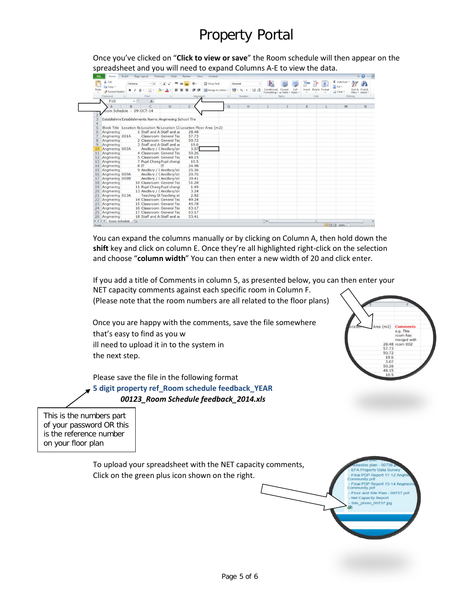# Property Portal

Once you've clicked on "**Click to view or save**" the Room schedule will then appear on the spreadsheet and you will need to expand Columns A-E to view the data.

| Paste | % Cut<br>$+11$ $+$ A $A$<br>Verdana<br>La Copy *<br>用。                    | 39.7      | Wrap Text      | General              | Conditional Format<br>Cell       | ÷<br>Insert | Delete Format | Σ AutoSum -<br>$FIII +$ | Sort & Find &     |
|-------|---------------------------------------------------------------------------|-----------|----------------|----------------------|----------------------------------|-------------|---------------|-------------------------|-------------------|
|       | $B$ $I$ $U$ $*$<br>ीत<br>А<br>Format Painter                              |           | Merge & Center | $49 - 9/6$<br>$-2.3$ | Formatting - as Table - Styles - |             |               | 2 Clear -               | Filter - Select - |
|       | Font<br>Clipboard<br>$\alpha$<br>$\sqrt{2}$                               | Alignment |                | Number               | Styles                           | Cells       |               | Editing                 |                   |
|       | F <sub>10</sub><br>$f_k$<br>$+$ (iii)                                     |           |                |                      |                                  |             |               |                         |                   |
|       | B<br>C<br>D<br>$\Lambda$                                                  | E         | G              | H                    |                                  | K           |               | M                       |                   |
|       | bom Schedule - 09-OCT-14                                                  |           |                |                      |                                  |             |               |                         |                   |
|       |                                                                           |           |                |                      |                                  |             |               |                         |                   |
|       | Establishme Establishments Name: Angmering School The                     |           |                |                      |                                  |             |               |                         |                   |
|       |                                                                           |           |                |                      |                                  |             |               |                         |                   |
|       | Block Title Location Re Location Na Location Cli Location Floor Area (m2) |           |                |                      |                                  |             |               |                         |                   |
| 6     | 1 Staff and A Staff and a<br>Angmering                                    | 28.48     |                |                      |                                  |             |               |                         |                   |
|       | Angmering 001A<br>Classroom General Tea                                   | 57.73     |                |                      |                                  |             |               |                         |                   |
| 8     | 2 Classroom General Tea<br>Angmering                                      | 50.72     |                |                      |                                  |             |               |                         |                   |
| 9     | 3 Staff and A Staff and a<br>Angmering                                    | 19.6      |                |                      |                                  |             |               |                         |                   |
| 10    | Ancillary / CAncillary/cir<br>Angmering 003A                              | 3.07      |                |                      |                                  |             |               |                         |                   |
| 11    | 4 Classroom General Tea<br>Angmering                                      | 50.26     |                |                      |                                  |             |               |                         |                   |
| 12    | 5 Classroom General Tea<br>Angmering                                      | 48.15     |                |                      |                                  |             |               |                         |                   |
|       | 7 Pupil Chang Pupil changi<br>Angmering                                   | 10.5      |                |                      |                                  |             |               |                         |                   |
| 14    | 8 IT<br>Angmering<br>П                                                    | 24.98     |                |                      |                                  |             |               |                         |                   |
| 15    | 9 Ancillary / CAncillary/cir<br>Angmering                                 | 25.36     |                |                      |                                  |             |               |                         |                   |
| 16    | Ancillary / CAncillary/cir<br>Angmering 009A                              | 20.76     |                |                      |                                  |             |               |                         |                   |
|       | Ancillary / CAncillary/cir<br>Angmering 009B                              | 30.41     |                |                      |                                  |             |               |                         |                   |
| 18    | 10 Classroom General Tea<br>Angmering                                     | 51.28     |                |                      |                                  |             |               |                         |                   |
| 19    | 11 Pupil Chang Pupil changi<br>Angmering                                  | 1.49      |                |                      |                                  |             |               |                         |                   |
| 20    | 13 Ancillary / CAncillary/cir<br>Angmering                                | 3.24      |                |                      |                                  |             |               |                         |                   |
| 21    | <b>Teaching St Teaching st</b><br>Angmering 013A                          | 2.82      |                |                      |                                  |             |               |                         |                   |
| 22    | 14 Classroom General Tea<br>Angmering                                     | 49.24     |                |                      |                                  |             |               |                         |                   |
| 23    | 15 Classroom General Tea<br>Angmering                                     | 44.78     |                |                      |                                  |             |               |                         |                   |
| 24    | 16 Classroom General Tea<br>Angmering                                     | 63.17     |                |                      |                                  |             |               |                         |                   |
| 25    | 17 Classroom General Tea<br>Angmering                                     | 63.17     |                |                      |                                  |             |               |                         |                   |
| 26    | 18 Staff and A Staff and a<br>Angmering                                   | 53.41     |                |                      |                                  |             |               |                         |                   |

You can expand the columns manually or by clicking on Column A, then hold down the **shift** key and click on column E. Once they're all highlighted right-click on the selection and choose "**column width**" You can then enter a new width of 20 and click enter.

If you add a title of Comments in column 5, as presented below, you can then enter your NET capacity comments against each specific room in Column F. (Please note that the room numbers are all related to the floor plans)

Once you are happy with the comments, save the file somewhere that's easy to find as you w ill need to upload it in to the system in the next step.

Please save the file in the following format **5 digit property ref\_Room schedule feedback\_YEAR** *00123\_Room Schedule feedback\_2014.xls*



r and Si Capacity Rep oto 00737.jpg

This is the numbers part of your password OR this is the reference number on your floor plan

> To upload your spreadsheet with the NET capacity comments, Click on the green plus icon shown on the right.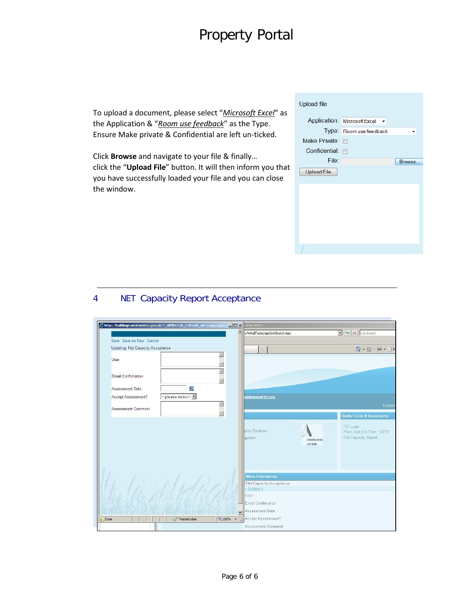# Property Portal

To upload a document, please select "*Microsoft Excel*" as the Application & "*Room use feedback*" as the Type. Ensure Make private & Confidential are left un-ticked.

Click **Browse** and navigate to your file & finally… click the "**Upload File**" button. It will then inform you that you have successfully loaded your file and you can close the window.

| <b>Upload file</b> |                                |        |
|--------------------|--------------------------------|--------|
|                    | Application: Microsoft Excel - |        |
|                    | Type: Room use feedback        |        |
| Make Private: n    |                                |        |
| Confidential:      | $\Box$                         |        |
| File:              |                                | Browse |
| <b>Upload File</b> |                                |        |
|                    |                                |        |
|                    |                                |        |
|                    |                                |        |
|                    |                                |        |
|                    |                                |        |
|                    |                                |        |
|                    |                                |        |
|                    |                                |        |

### 4 NET Capacity Report Acceptance

|                                   | http://buildings.westsussex.gov.uk/?_afPfm=1&_t=fred&_vir=/app/gqsU IIIIX ed by WSCC |                                    |                                   |                     |                                                                                         |
|-----------------------------------|--------------------------------------------------------------------------------------|------------------------------------|-----------------------------------|---------------------|-----------------------------------------------------------------------------------------|
|                                   |                                                                                      |                                    | tyPortal/faces/app/estSearch.jspx |                     | V X Live Search                                                                         |
| Save Save As New Cancel           |                                                                                      |                                    |                                   |                     |                                                                                         |
| Updating: Net Capacity Acceptance |                                                                                      |                                    |                                   |                     | $\bigcap_{i=1}^n \cdot \bigcap_{i=1}^n \cdot \bigcap_{i=1}^n \cdot \bigcap_{i=1}^n P_i$ |
| User                              |                                                                                      |                                    |                                   |                     |                                                                                         |
| Email Confirmation                |                                                                                      | $\Delta$                           |                                   |                     |                                                                                         |
| Assessment Date                   | 扁                                                                                    |                                    |                                   |                     |                                                                                         |
| Accept Assessment?                | <please select=""></please>                                                          |                                    | tablishment Details               |                     |                                                                                         |
|                                   |                                                                                      | $\left\vert \mathbb{A}\right\vert$ |                                   |                     | Logged                                                                                  |
| Assessment Comment                |                                                                                      | $\mathbf{v}$                       |                                   |                     | <b>Useful Links &amp; Documents</b>                                                     |
|                                   |                                                                                      |                                    | ples Services<br>lipment          | ANGNERING<br>SCHOOL | $-737 - Logo$<br>- Floor And Site Plan - 00737<br>- Net Capacity Report                 |
|                                   |                                                                                      |                                    | <b>More Information</b>           |                     |                                                                                         |
|                                   |                                                                                      |                                    | Net Capacity Acceptance           |                     |                                                                                         |
|                                   |                                                                                      |                                    | $<$ Update $>$<br>User            |                     |                                                                                         |
|                                   |                                                                                      |                                    | Email Confirmation                |                     |                                                                                         |
|                                   |                                                                                      |                                    | Assessment Date                   |                     |                                                                                         |
| <b>Done</b>                       | <b>Trusted sites</b>                                                                 | $+100%$ .                          | Accept Assessment?                |                     |                                                                                         |
|                                   |                                                                                      |                                    | Assessment Comment                |                     |                                                                                         |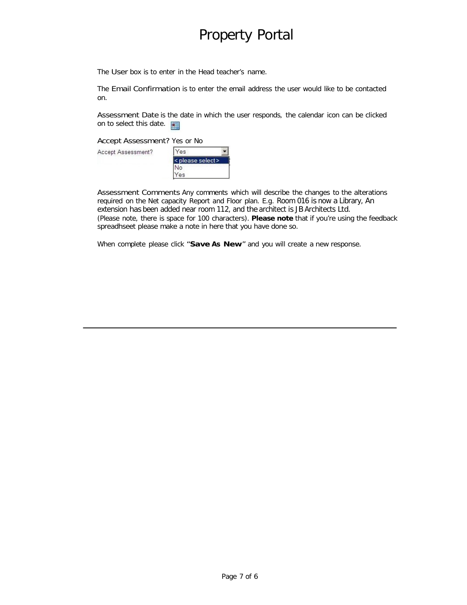## Property Portal

The User box is to enter in the Head teacher's name.

The Email Confirmation is to enter the email address the user would like to be contacted on.

Assessment Date is the date in which the user responds, the calendar icon can be clicked on to select this date.

Accept Assessment? Yes or No

Accept Assessment?



Assessment Comments Any comments which will describe the changes to the alterations required on the Net capacity Report and Floor plan. E.g. Room 016 is now a Library, An extension has been added near room 112, and the architect is JB Architects Ltd. (Please note, there is space for 100 characters). **Please note** that if you're using the feedback spreadhseet please make a note in here that you have done so.

When complete please click "**Save As New**" and you will create a new response.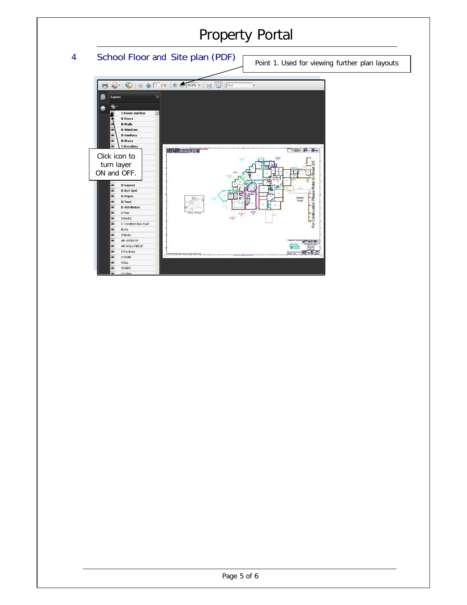